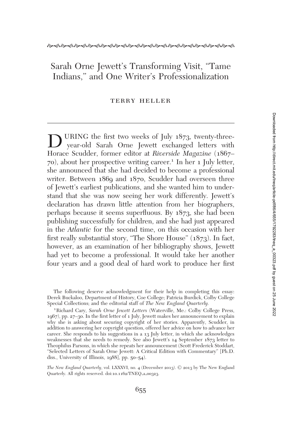# Sarah Orne Jewett's Transforming Visit, "Tame Indians," and One Writer's Professionalization

## TERRY HELLER

DURING the first two weeks of July 1873, twenty-three-<br>year-old Sarah Orne Jewett exchanged letters with<br>Hence Sarahlan formate distributed Pinemida Measure (1860) Horace Scudder, former editor at *Riverside Magazine* (1867–  $70$ , about her prospective writing career.<sup>1</sup> In her 1 July letter, she announced that she had decided to become a professional writer. Between 1869 and 1870, Scudder had overseen three of Jewett's earliest publications, and she wanted him to understand that she was now seeing her work differently. Jewett's declaration has drawn little attention from her biographers, perhaps because it seems superfluous. By 1873, she had been publishing successfully for children, and she had just appeared in the *Atlantic* for the second time, on this occasion with her first really substantial story, "The Shore House" (1873). In fact, however, as an examination of her bibliography shows, Jewett had yet to become a professional. It would take her another four years and a good deal of hard work to produce her first

The following deserve acknowledgment for their help in completing this essay: Derek Buckaloo, Department of History, Coe College; Patricia Burdick, Colby College Special Collections; and the editorial staff of *The New England Quarterly.*

<sup>1</sup>Richard Cary, *Sarah Orne Jewett Letters* (Waterville, Me.: Colby College Press, 1967), pp. 27–30. In the first letter of 1 July, Jewett makes her announcement to explain why she is asking about securing copyright of her stories. Apparently, Scudder, in addition to answering her copyright question, offered her advice on how to advance her career. She responds to his suggestions in a 13 July letter, in which she acknowledges weaknesses that she needs to remedy. See also Jewett's 14 September 1873 letter to Theophilus Parsons, in which she repeats her announcement (Scott Frederick Stoddart, "Selected Letters of Sarah Orne Jewett: A Critical Edition with Commentary" [Ph.D. diss., University of Illinois, 1988], pp. 50–54).

*The New England Quarterly, v*ol. LXXXVI, no. 4 (December 2013). © 2013 by The New England Quarterly. All rights reserved. doi:10.1162/TNEQ .a.00323.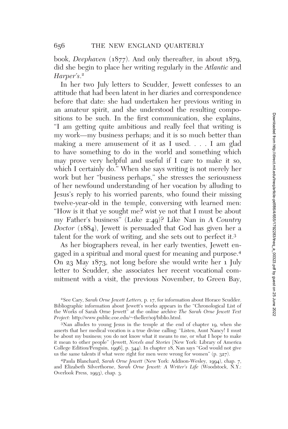book, *Deephaven* (1877). And only thereafter, in about 1879, did she begin to place her writing regularly in the *Atlantic* and *Harper's*. 2

In her two July letters to Scudder, Jewett confesses to an attitude that had been latent in her diaries and correspondence before that date: she had undertaken her previous writing in an amateur spirit, and she understood the resulting compositions to be such. In the first communication, she explains, "I am getting quite ambitious and really feel that writing is my work—my business perhaps; and it is so much better than making a mere amusement of it as I used. . . . I am glad to have something to do in the world and something which may prove very helpful and useful if I care to make it so, which I certainly do." When she says writing is not merely her work but her "business perhaps," she stresses the seriousness of her newfound understanding of her vocation by alluding to Jesus's reply to his worried parents, who found their missing twelve-year-old in the temple, conversing with learned men: "How is it that ye sought me? wist ye not that I must be about my Father's business" (Luke 2:49)? Like Nan in *A Country Doctor* (1884), Jewett is persuaded that God has given her a talent for the work of writing, and she sets out to perfect it.<sup>3</sup>

As her biographers reveal, in her early twenties, Jewett engaged in a spiritual and moral quest for meaning and purpose.<sup>4</sup> On 23 May 1873, not long before she would write her 1 July letter to Scudder, she associates her recent vocational commitment with a visit, the previous November, to Green Bay,

<sup>2</sup>See Cary, *Sarah Orne Jewett Letters,* p. 17, for information about Horace Scudder. Bibliographic information about Jewett's works appears in the "Chronological List of the Works of Sarah Orne Jewett" at the online archive *The Sarah Orne Jewett Text*

*Projection Project: Properties* in the temple at the end of chapter 19, when she in the temple at the end of chapter 19, when she asserts that her medical vocation is a true divine calling: "Listen, Aunt Nancy! I must be about my business; you do not know what it means to me, or what I hope to make it mean to other people" (Jewett, *Novels and Stories* [New York: Library of America College Edition/Penguin, 1996], p. 344). In chapter 18, Nan says "God would not give us the same talents if what were right for men were wrong for women" (p. 327).

<sup>4</sup>Paula Blanchard, *Sarah Orne Jewett* (New York: Addison-Wesley, 1994), chap. 7, and Elizabeth Silverthorne, *Sarah Orne Jewett: A Writer's Life* (Woodstock, N.Y.: Overlook Press, 1993), chap. 3.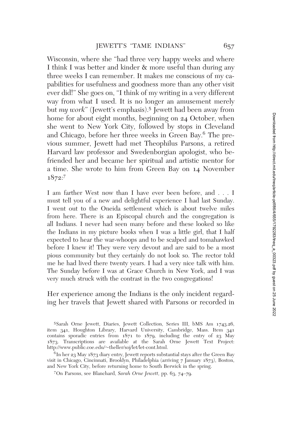Wisconsin, where she "had three very happy weeks and where I think I was better and kinder & more useful than during any three weeks I can remember. It makes me conscious of my capabilities for usefulness and goodness more than any other visit ever did!" She goes on, "I think of my writing in a very different way from what I used. It is no longer an amusement merely but *my work*" (Jewett's emphasis).<sup>5</sup> Jewett had been away from home for about eight months, beginning on 24 October, when she went to New York City, followed by stops in Cleveland and Chicago, before her three weeks in Green Bay.<sup>6</sup> The previous summer, Jewett had met Theophilus Parsons, a retired Harvard law professor and Swedenborgian apologist, who befriended her and became her spiritual and artistic mentor for a time. She wrote to him from Green Bay on 14 November 1872: 7

I am farther West now than I have ever been before, and . . . I must tell you of a new and delightful experience I had last Sunday. I went out to the Oneida settlement which is about twelve miles from here. There is an Episcopal church and the congregation is all Indians. I never had seen many before and these looked so like the Indians in my picture books when I was a little girl, that I half expected to hear the war-whoops and to be scalped and tomahawked before I knew it! They were very devout and are said to be a most pious community but they certainly do not look so. The rector told me he had lived there twenty years. I had a very nice talk with him. The Sunday before I was at Grace Church in New York, and I was very much struck with the contrast in the two congregations!

Her experience among the Indians is the only incident regarding her travels that Jewett shared with Parsons or recorded in

<sup>5</sup>Sarah Orne Jewett, Diaries, Jewett Collection, Series III, bMS Am 1743.26, item 341, Houghton Library, Harvard University, Cambridge, Mass. Item 341 contains sporadic entries from 1871 to 1879, including the entry of 23 May 1873. Transcriptions are available at the Sarah Orne Jewett Text Project: http://www.public.coe.edu/∼theller/soj/let/let-cont.html. <sup>6</sup>In her <sup>23</sup> May <sup>1873</sup> diary entry, Jewett reports substantial stays after the Green Bay

visit in Chicago, Cincinnati, Brooklyn, Philadelphia (arriving 7 January 1873), Boston, and New York City, before returning home to South Berwick in the spring.

<sup>7</sup>On Parsons, see Blanchard, *Sarah Orne Jewett,* pp. 63, 74–79.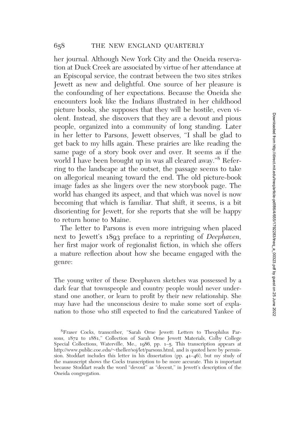her journal. Although New York City and the Oneida reservation at Duck Creek are associated by virtue of her attendance at an Episcopal service, the contrast between the two sites strikes Jewett as new and delightful. One source of her pleasure is the confounding of her expectations. Because the Oneida she encounters look like the Indians illustrated in her childhood picture books, she supposes that they will be hostile, even violent. Instead, she discovers that they are a devout and pious people, organized into a community of long standing. Later in her letter to Parsons, Jewett observes, "I shall be glad to get back to my hills again. These prairies are like reading the same page of a story book over and over. It seems as if the world I have been brought up in was all cleared away."<sup>8</sup> Referring to the landscape at the outset, the passage seems to take on allegorical meaning toward the end. The old picture-book image fades as she lingers over the new storybook page. The world has changed its aspect, and that which was novel is now becoming that which is familiar. That shift, it seems, is a bit disorienting for Jewett, for she reports that she will be happy to return home to Maine.

The letter to Parsons is even more intriguing when placed next to Jewett's 1893 preface to a reprinting of *Deephaven,* her first major work of regionalist fiction, in which she offers a mature reflection about how she became engaged with the genre:

The young writer of these Deephaven sketches was possessed by a dark fear that townspeople and country people would never understand one another, or learn to profit by their new relationship. She may have had the unconscious desire to make some sort of explanation to those who still expected to find the caricatured Yankee of

<sup>8</sup>Fraser Cocks, transcriber, "Sarah Orne Jewett: Letters to Theophilus Parsons, 1872 to 1881," Collection of Sarah Orne Jewett Materials, Colby College Special Collections, Waterville, Me., 1986, pp. 1–5. This transcription appears at http://www.public.coe.edu/∼theller/soj/let/parsons.html, and is quoted here by permission. Stoddart includes this letter in his dissertation (pp. 41–46), but my study of the manuscript shows the Cocks transcription to be more accurate. This is important because Stoddart reads the word "devout" as "decent," in Jewett's description of the Oneida congregation.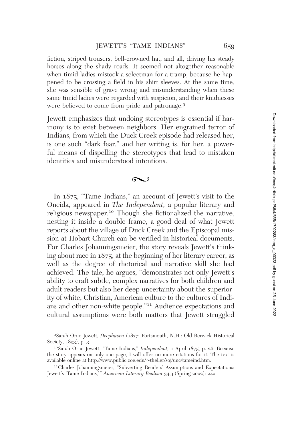fiction, striped trousers, bell-crowned hat, and all, driving his steady horses along the shady roads. It seemed not altogether reasonable when timid ladies mistook a selectman for a tramp, because he happened to be crossing a field in his shirt sleeves. At the same time, she was sensible of grave wrong and misunderstanding when these same timid ladies were regarded with suspicion, and their kindnesses were believed to come from pride and patronage.<sup>9</sup>

Jewett emphasizes that undoing stereotypes is essential if harmony is to exist between neighbors. Her engrained terror of Indians, from which the Duck Creek episode had released her, is one such "dark fear," and her writing is, for her, a powerful means of dispelling the stereotypes that lead to mistaken identities and misunderstood intentions.

### ت

In 1875, "Tame Indians," an account of Jewett's visit to the Oneida, appeared in *The Independent,* a popular literary and religious newspaper.<sup>10</sup> Though she fictionalized the narrative, nesting it inside a double frame, a good deal of what Jewett reports about the village of Duck Creek and the Episcopal mission at Hobart Church can be verified in historical documents. For Charles Johanningsmeier, the story reveals Jewett's thinking about race in 1875, at the beginning of her literary career, as well as the degree of rhetorical and narrative skill she had achieved. The tale, he argues, "demonstrates not only Jewett's ability to craft subtle, complex narratives for both children and adult readers but also her deep uncertainty about the superiority of white, Christian, American culture to the cultures of Indians and other non-white people."<sup>11</sup> Audience expectations and cultural assumptions were both matters that Jewett struggled

<sup>9</sup>Sarah Orne Jewett, *Deephaven* (1877; Portsmouth, N.H.: Old Berwick Historical Society, 1893), p. 3.

<sup>10</sup>Sarah Orne Jewett, "Tame Indians," *Independent,* 1 April 1875, p. 26. Because the story appears on only one page, I will offer no more citations for it. The text is available online at http://www.public.coe.edu/~theller/soj/unc/tameind.htm.

<sup>&</sup>lt;sup>11</sup>Charles Johanningsmeier, "Subverting Readers' Assumptions and Expectations: Jewett's 'Tame Indians,'" American Literary Realism 34.3 (Spring 2002): 240.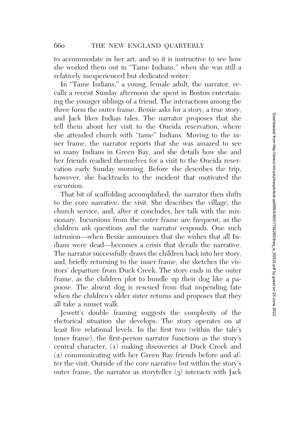to accommodate in her art, and so it is instructive to see how she worked them out in "Tame Indians," when she was still a relatively inexperienced but dedicated writer.

In "Tame Indians," a young, female adult, the narrator, recalls a recent Sunday afternoon she spent in Boston entertaining the younger siblings of a friend. The interactions among the three form the outer frame. Bessie asks for a story, a true story, and Jack likes Indian tales. The narrator proposes that she tell them about her visit to the Oneida reservation, where she attended church with "tame" Indians. Moving to the inner frame, the narrator reports that she was amazed to see so many Indians in Green Bay, and she details how she and her friends readied themselves for a visit to the Oneida reservation early Sunday morning. Before she describes the trip, however, she backtracks to the incident that motivated the excursion.

That bit of scaffolding accomplished, the narrator then shifts to the core narrative, the visit. She describes the village, the church service, and, after it concludes, her talk with the missionary. Incursions from the outer frame are frequent, as the children ask questions and the narrator responds. One such intrusion—when Bessie announces that she wishes that all Indians were dead—becomes a crisis that derails the narrative. The narrator successfully draws the children back into her story, and, briefly returning to the inner frame, she sketches the visitors' departure from Duck Creek. The story ends in the outer frame, as the children plot to bundle up their dog like a papoose. The absent dog is rescued from that impending fate when the children's older sister returns and proposes that they all take a sunset walk.

Jewett's double framing suggests the complexity of the rhetorical situation she develops. The story operates on at least five relational levels. In the first two (within the tale's inner frame), the first-person narrator functions as the story's central character, (1) making discoveries at Duck Creek and (2) communicating with her Green Bay friends before and after the visit. Outside of the core narrative but within the story's outer frame, the narrator as storyteller (3) interacts with Jack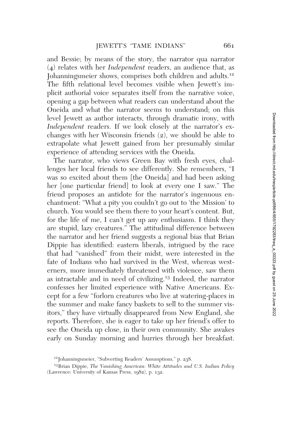and Bessie; by means of the story, the narrator qua narrator (4) relates with her *Independent* readers, an audience that, as Johanningsmeier shows, comprises both children and adults.<sup>12</sup> The fifth relational level becomes visible when Jewett's implicit authorial voice separates itself from the narrative voice, opening a gap between what readers can understand about the Oneida and what the narrator seems to understand; on this level Jewett as author interacts, through dramatic irony, with *Independent* readers. If we look closely at the narrator's exchanges with her Wisconsin friends (2), we should be able to extrapolate what Jewett gained from her presumably similar experience of attending services with the Oneida.

The narrator, who views Green Bay with fresh eyes, challenges her local friends to see differently. She remembers, "I was so excited about them [the Oneida] and had been asking her [one particular friend] to look at every one I saw." The friend proposes an antidote for the narrator's ingenuous enchantment: "What a pity you couldn't go out to 'the Mission' to church. You would see them there to your heart's content. But, for the life of me, I can't get up any enthusiasm. I think they are stupid, lazy creatures." The attitudinal difference between the narrator and her friend suggests a regional bias that Brian Dippie has identified: eastern liberals, intrigued by the race that had "vanished" from their midst, were interested in the fate of Indians who had survived in the West, whereas westerners, more immediately threatened with violence, saw them as intractable and in need of civilizing.<sup>13</sup> Indeed, the narrator confesses her limited experience with Native Americans. Except for a few "forlorn creatures who live at watering-places in the summer and make fancy baskets to sell to the summer visitors," they have virtually disappeared from New England, she reports. Therefore, she is eager to take up her friend's offer to see the Oneida up close, in their own community. She awakes early on Sunday morning and hurries through her breakfast.

<sup>&</sup>lt;sup>12</sup>Johanningsmeier, "Subverting Readers' Assumptions," p. 238.

<sup>13</sup>Brian Dippie, *The Vanishing American: White Attitudes and U.S. Indian Policy* (Lawrence: University of Kansas Press, 1982), p. 132.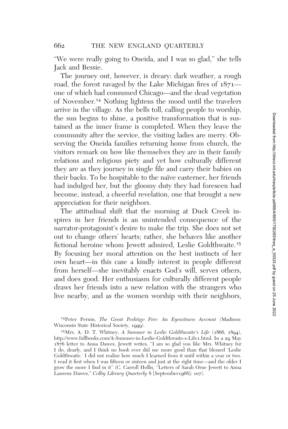"We were really going to Oneida, and I was so glad," she tells Jack and Bessie.

The journey out, however, is dreary: dark weather, a rough road, the forest ravaged by the Lake Michigan fires of 1871 one of which had consumed Chicago—and the dead vegetation of November.<sup>14</sup> Nothing lightens the mood until the travelers arrive in the village. As the bells toll, calling people to worship, the sun begins to shine, a positive transformation that is sustained as the inner frame is completed. When they leave the community after the service, the visiting ladies are merry. Observing the Oneida families returning home from church, the visitors remark on how like themselves they are in their family relations and religious piety and yet how culturally different they are as they journey in single file and carry their babies on their backs. To be hospitable to the naïve easterner, her friends had indulged her, but the gloomy duty they had foreseen had become, instead, a cheerful revelation, one that brought a new appreciation for their neighbors.

The attitudinal shift that the morning at Duck Creek inspires in her friends is an unintended consequence of the narrator-protagonist's desire to make the trip. She does not set out to change others' hearts; rather, she behaves like another fictional heroine whom Jewett admired, Leslie Goldthwaite.<sup>15</sup> By focusing her moral attention on the best instincts of her own heart—in this case a kindly interest in people different from herself—she inevitably enacts God's will, serves others, and does good. Her enthusiasm for culturally different people draws her friends into a new relation with the strangers who live nearby, and as the women worship with their neighbors,

<sup>14</sup>Peter Pernin, *The Great Peshtigo Fire: An Eyewitness Account* (Madison: Wisconsin State Historical Society, 1999).

<sup>15</sup>Mrs. A. D. T. Whitney, *A Summer in Leslie Goldthwaite's Life* (1866, 1894), http://www.fullbooks.com/A-Summer-in-Leslie-Goldthwaite-s-Life1.html. In a 29 May 1876 letter to Anna Dawes, Jewett writes, "I am so glad you like Mrs. Whitney for I do, dearly, and I think no book ever did me more good than that blessed 'Leslie Goldthwaite.' I did not realize how much I learned from it until within a year or two. I read it first when I was fifteen or sixteen and just at the right time—and the older I grow the more I find in it" (C. Carroll Hollis, "Letters of Sarah Orne Jewett to Anna Laurens Dawes," *Colby Library Quarterly* 8 [September1968]: 107).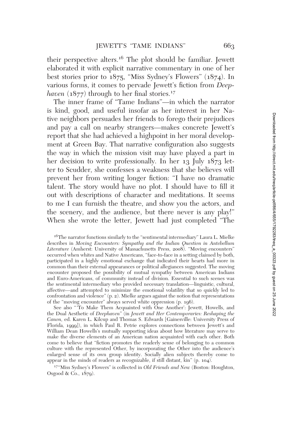their perspective alters.<sup>16</sup> The plot should be familiar. Jewett elaborated it with explicit narrative commentary in one of her best stories prior to 1875, "Miss Sydney's Flowers" (1874). In various forms, it comes to pervade Jewett's fiction from *Deephaven*  $(1877)$  through to her final stories.<sup>17</sup>

The inner frame of "Tame Indians"—in which the narrator is kind, good, and useful insofar as her interest in her Native neighbors persuades her friends to forego their prejudices and pay a call on nearby strangers—makes concrete Jewett's report that she had achieved a highpoint in her moral development at Green Bay. That narrative configuration also suggests the way in which the mission visit may have played a part in her decision to write professionally. In her 13 July 1873 letter to Scudder, she confesses a weakness that she believes will prevent her from writing longer fiction: "I have no dramatic talent. The story would have no plot. I should have to fill it out with descriptions of character and meditations. It seems to me I can furnish the theatre, and show you the actors, and the scenery, and the audience, but there never is any play!" When she wrote the letter, Jewett had just completed "The

<sup>16</sup>The narrator functions similarly to the "sentimental intermediary" Laura L. Mielke describes in *Moving Encounters: Sympathy and the Indian Question in Antebellum Literature* (Amherst: University of Massachusetts Press, 2008). "Moving encounters" occurred when whites and Native Americans, "face-to-face in a setting claimed by both, participated in a highly emotional exchange that indicated their hearts had more in common than their external appearances or political allegiances suggested. The moving encounter proposed the possibility of mutual sympathy between American Indians and Euro-Americans, of community instead of division. Essential to such scenes was the sentimental intermediary who provided necessary translation—linguistic, cultural, affective—and attempted to minimize the emotional volatility that so quickly led to confrontation and violence" (p. 2). Mielke argues against the notion that representations of the "moving encounter" always served white oppression (p. 196).

See also " 'To Make Them Acquainted with One Another': Jewett, Howells, and the Dual Aesthetic of *Deephaven*" (in *Jewett and Her Contemporaries: Reshaping the Canon,* ed. Karen L. Kilcup and Thomas S. Edwards [Gainesville: University Press of Florida, 1999]), in which Paul R. Petrie explores connections between Jewett's and William Dean Howells's mutually supporting ideas about how literature may serve to make the diverse elements of an American nation acquainted with each other. Both come to believe that "fiction promotes the readerly sense of belonging to a common culture with the represented Other, by incorporating the Other into the audience's enlarged sense of its own group identity. Socially alien subjects thereby come to appear in the minds of readers as recognizable, if still distant, kin" (p. 104).

<sup>17</sup>"Miss Sydney's Flowers" is collected in *Old Friends and New* (Boston: Houghton, Osgood & Co., 1879).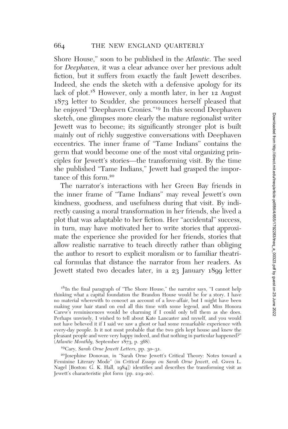Shore House," soon to be published in the *Atlantic*. The seed for *Deephaven,* it was a clear advance over her previous adult fiction, but it suffers from exactly the fault Jewett describes. Indeed, she ends the sketch with a defensive apology for its lack of plot.<sup>18</sup> However, only a month later, in her 12 August 1873 letter to Scudder, she pronounces herself pleased that he enjoyed "Deephaven Cronies."<sup>19</sup> In this second Deephaven sketch, one glimpses more clearly the mature regionalist writer Jewett was to become; its significantly stronger plot is built mainly out of richly suggestive conversations with Deephaven eccentrics. The inner frame of "Tame Indians" contains the germ that would become one of the most vital organizing principles for Jewett's stories—the transforming visit. By the time she published "Tame Indians," Jewett had grasped the importance of this form.<sup>20</sup>

The narrator's interactions with her Green Bay friends in the inner frame of "Tame Indians" may reveal Jewett's own kindness, goodness, and usefulness during that visit. By indirectly causing a moral transformation in her friends, she lived a plot that was adaptable to her fiction. Her "accidental" success, in turn, may have motivated her to write stories that approximate the experience she provided for her friends, stories that allow realistic narrative to teach directly rather than obliging the author to resort to explicit moralism or to familiar theatrical formulas that distance the narrator from her readers. As Jewett stated two decades later, in a 23 January 1899 letter

<sup>18</sup>In the final paragraph of "The Shore House," the narrator says, "I cannot help thinking what a capital foundation the Brandon House would be for a story. I have no material wherewith to concoct an account of a love-affair, but I might have been making your hair stand on end all this time with some legend, and Miss Honora Carew's reminiscences would be charming if I could only tell them as she does. Perhaps unwisely, I wished to tell about Kate Lancaster and myself, and you would not have believed it if I said we saw a ghost or had some remarkable experience with every-day people. Is it not most probable that the two girls kept house and knew the pleasant people and were very happy indeed, and that nothing in particular happened?" (*Atlantic Monthly,* September 1873, p. 368).

<sup>19</sup>Cary, *Sarah Orne Jewett Letters,* pp. 30–31.

<sup>20</sup>Josephine Donovan, in "Sarah Orne Jewett's Critical Theory: Notes toward a Feminine Literary Mode" (in *Critical Essays on Sarah Orne Jewett,* ed. Gwen L. Nagel [Boston: G. K. Hall, 1984]) identifies and describes the transforming visit as Jewett's characteristic plot form (pp. 219–20).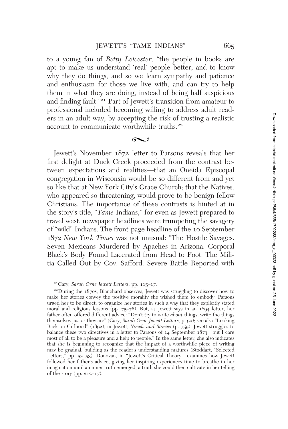to a young fan of *Betty Leicester,* "the people in books are apt to make us understand 'real' people better, and to know why they do things, and so we learn sympathy and patience and enthusiasm for those we live with, and can try to help them in what they are doing, instead of being half suspicious and finding fault."<sup>21</sup> Part of Jewett's transition from amateur to professional included becoming willing to address adult readers in an adult way, by accepting the risk of trusting a realistic account to communicate worthwhile truths.<sup>22</sup>

ت

Jewett's November 1872 letter to Parsons reveals that her first delight at Duck Creek proceeded from the contrast between expectations and realities—that an Oneida Episcopal congregation in Wisconsin would be so different from and yet so like that at New York City's Grace Church; that the Natives, who appeared so threatening, would prove to be benign fellow Christians. The importance of these contrasts is hinted at in the story's title, "*Tame* Indians," for even as Jewett prepared to travel west, newspaper headlines were trumpeting the savagery of "wild" Indians. The front-page headline of the 10 September 1872 *New York Times* was not unusual: "The Hostile Savages. Seven Mexicans Murdered by Apaches in Arizona. Corporal Black's Body Found Lacerated from Head to Foot. The Militia Called Out by Gov. Safford. Severe Battle Reported with

<sup>21</sup>Cary, *Sarah Orne Jewett Letters*, pp. 115–17.

<sup>22</sup>During the 1870s, Blanchard observes, Jewett was struggling to discover how to make her stories convey the positive morality she wished them to embody. Parsons urged her to be direct, to organize her stories in such a way that they explicitly stated moral and religious lessons (pp. 75–76). But, as Jewett says in an 1894 letter, her father often offered different advice: "Don't try to write *about* things; write the things themselves just as they are" (Cary, *Sarah Orne Jewett Letters,* p. 90); see also "Looking Back on Girlhood" (1892), in Jewett, *Novels and Stories* (p. 759). Jewett struggles to balance these two directives in a letter to Parsons of 14 September 1873: "but I care most of all to be a pleasure and a help to people." In the same letter, she also indicates that she is beginning to recognize that the impact of a worthwhile piece of writing may be gradual, building as the reader's understanding matures (Stoddart, "Selected Letters," pp. 52–53). Donovan, in "Jewett's Critical Theory," examines how Jewett followed her father's advice, giving her inspiring experiences time to breathe in her imagination until an inner truth emerged, a truth she could then cultivate in her telling of the story (pp.  $212-17$ ).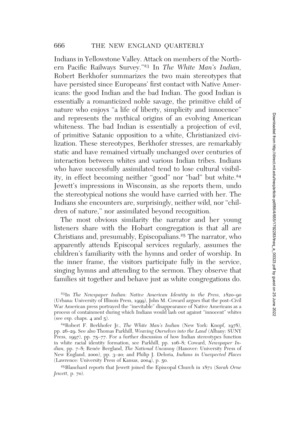Indians in Yellowstone Valley. Attack on members of the Northern Pacific Railways Survey."<sup>23</sup> In *The White Man's Indian,* Robert Berkhofer summarizes the two main stereotypes that have persisted since Europeans' first contact with Native Americans: the good Indian and the bad Indian. The good Indian is essentially a romanticized noble savage, the primitive child of nature who enjoys "a life of liberty, simplicity and innocence" and represents the mythical origins of an evolving American whiteness. The bad Indian is essentially a projection of evil, of primitive Satanic opposition to a white, Christianized civilization. These stereotypes, Berkhofer stresses, are remarkably static and have remained virtually unchanged over centuries of interaction between whites and various Indian tribes. Indians who have successfully assimilated tend to lose cultural visibility, in effect becoming neither "good" nor "bad" but white.<sup>24</sup> Jewett's impressions in Wisconsin, as she reports them, undo the stereotypical notions she would have carried with her. The Indians she encounters are, surprisingly, neither wild, nor "children of nature," nor assimilated beyond recognition.

The most obvious similarity the narrator and her young listeners share with the Hobart congregation is that all are Christians and, presumably, Episcopalians.<sup>25</sup> The narrator, who apparently attends Episcopal services regularly, assumes the children's familiarity with the hymns and order of worship. In the inner frame, the visitors participate fully in the service, singing hymns and attending to the sermon. They observe that families sit together and behave just as white congregations do.

<sup>24</sup>Robert F. Berkhofer Jr., *The White Man's Indian* (New York: Knopf, 1978), pp. 26–29. See also Thomas Parkhill, *Weaving Ourselves into the Land* (Albany: SUNY Press, 1997), pp. 75–77. For a further discussion of how Indian stereotypes function in white racial identity formation, see Parkhill, pp. 106–8; Coward, *Newspaper Indian, pp. 7–8; Renée Bergland, The National Uncanny* (Hanover: University Press of New England, 2000), pp. 3–20; and Philip J. Deloria, *Indians in Unexpected Places* (Lawrence: University Press of Kansas, 2004), p. 50.

<sup>25</sup>Blanchard reports that Jewett joined the Episcopal Church in 1871 (*Sarah Orne Jewett,* p. 70).

<sup>23</sup>In *The Newspaper Indian: Native American Identity in the Press, 1820–90* (Urbana: University of Illinois Press, 1999), John M. Coward argues that the post–Civil War American press portrayed the "inevitable" disappearance of Native Americans as a process of containment during which Indians would lash out against "innocent" whites (see esp. chaps. 4 and 5).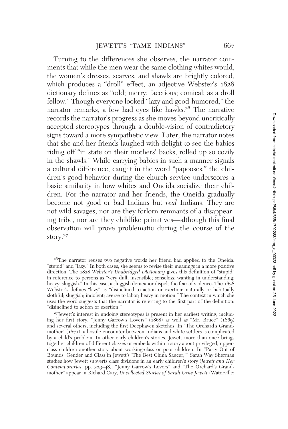Turning to the differences she observes, the narrator comments that while the men wear the same clothing whites would, the women's dresses, scarves, and shawls are brightly colored, which produces a "droll" effect, an adjective Webster's 1828 dictionary defines as "odd; merry; facetious; comical; as a droll fellow." Though everyone looked "lazy and good-humored," the narrator remarks, a few had eyes like hawks.<sup>26</sup> The narrative records the narrator's progress as she moves beyond uncritically accepted stereotypes through a double-vision of contradictory signs toward a more sympathetic view. Later, the narrator notes that she and her friends laughed with delight to see the babies riding off "in state on their mothers' backs, rolled up so cozily in the shawls." While carrying babies in such a manner signals a cultural difference, caught in the word "papooses," the children's good behavior during the church service underscores a basic similarity in how whites and Oneida socialize their children. For the narrator and her friends, the Oneida gradually become not good or bad Indians but *real* Indians. They are not wild savages, nor are they forlorn remnants of a disappearing tribe, nor are they childlike primitives—although this final observation will prove problematic during the course of the story.<sup>27</sup>

<sup>27</sup>Jewett's interest in undoing stereotypes is present in her earliest writing, including her first story, "Jenny Garrow's Lovers" (1868) as well as "Mr. Bruce" (1869) and several others, including the first Deephaven sketches. In "The Orchard's Grandmother" (1871), a hostile encounter between Indians and white settlers is complicated by a child's problem. In other early children's stories, Jewett more than once brings together children of different classes or embeds within a story about privileged, upperclass children another story about working-class or poor children. In "Party Out of Bounds: Gender and Class in Jewett's 'The Best China Saucer,'" Sarah Way Sherman studies how Jewett subverts class divisions in an early children's story (*Jewett and Her Contemporaries,* pp. 223–48). "Jenny Garrow's Lovers" and "The Orchard's Grandmother" appear in Richard Cary, *Uncollected Stories of Sarah Orne Jewett* (Waterville:

<sup>&</sup>lt;sup>26</sup>The narrator reuses two negative words her friend had applied to the Oneida: "stupid" and "lazy." In both cases, she seems to revise their meanings in a more positive direction. The 1828 *Webster's Unabridged Dictionary* gives this definition of "stupid" in reference to persons as "very dull; insensible; senseless; wanting in understanding; heavy; sluggish." In this case, a sluggish demeanor dispels the fear of violence. The 1828 Webster's defines "lazy" as "disinclined to action or exertion; naturally or habitually slothful; sluggish; indolent; averse to labor; heavy in motion." The context in which she uses the word suggests that the narrator is referring to the first part of the definition: "disinclined to action or exertion."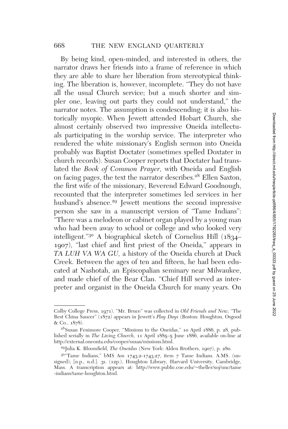By being kind, open-minded, and interested in others, the narrator draws her friends into a frame of reference in which they are able to share her liberation from stereotypical thinking. The liberation is, however, incomplete. "They do not have all the usual Church service; but a much shorter and simpler one, leaving out parts they could not understand," the narrator notes. The assumption is condescending; it is also historically myopic. When Jewett attended Hobart Church, she almost certainly observed two impressive Oneida intellectuals participating in the worship service. The interpreter who rendered the white missionary's English sermon into Oneida probably was Baptist Doctater (sometimes spelled Doxtater in church records). Susan Cooper reports that Doctater had translated the *Book of Common Prayer,* with Oneida and English on facing pages, the text the narrator describes.<sup>28</sup> Ellen Saxton, the first wife of the missionary, Reverend Edward Goodnough, recounted that the interpreter sometimes led services in her husband's absence.<sup>29</sup> Jewett mentions the second impressive person she saw in a manuscript version of "Tame Indians": "There was a melodeon or cabinet organ played by a young man who had been away to school or college and who looked very intelligent."<sup>30</sup> A biographical sketch of Cornelius Hill (1834– 1907), "last chief and first priest of the Oneida," appears in *TA LUH VA WA GU,* a history of the Oneida church at Duck Creek. Between the ages of ten and fifteen, he had been educated at Nashotah, an Episcopalian seminary near Milwaukee, and made chief of the Bear Clan. "Chief Hill served as interpreter and organist in the Oneida Church for many years. On

Colby College Press, 1971). "Mr. Bruce" was collected in *Old Friends and New;* "The Best China Saucer" (1872) appears in Jewett's *Play Days* (Boston: Houghton, Osgood & Co*.*, 1878).

<sup>28</sup>Susan Fenimore Cooper, "Missions to the Oneidas," 10 April 1886, p. 28, published serially in *The Living Church,* 11 April 1885–5 June 1886, available on-line at http://external.oneonta.edu/cooper/susan/missions.html.

<sup>29</sup>Julia K. Bloomfield, *The Oneidas* (New York: Alden Brothers, 1907), p. 280.

<sup>30</sup>"Tame Indians," bMS Am 1743.2-1743.27, item 7 Tame Indians. A.MS. (unsigned); [n.p., n.d.]. 3s. (12p.), Houghton Library, Harvard University, Cambridge, Mass. A transcription appears at: http://www.public.coe.edu/∼theller/soj/unc/tame -indians/tame-houghton.html.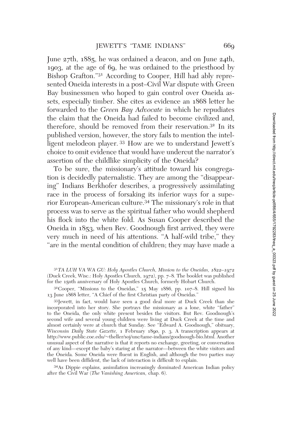June 27th, 1885, he was ordained a deacon, and on June 24th, 1903, at the age of 69, he was ordained to the priesthood by Bishop Grafton."<sup>31</sup> According to Cooper, Hill had ably represented Oneida interests in a post–Civil War dispute with Green Bay businessmen who hoped to gain control over Oneida assets, especially timber. She cites as evidence an 1868 letter he forwarded to the *Green Bay Advocate* in which he repudiates the claim that the Oneida had failed to become civilized and, therefore, should be removed from their reservation.<sup>32</sup> In its published version, however, the story fails to mention the intelligent melodeon player. <sup>33</sup> How are we to understand Jewett's choice to omit evidence that would have undercut the narrator's assertion of the childlike simplicity of the Oneida?

To be sure, the missionary's attitude toward his congregation is decidedly paternalistic. They are among the "disappearing" Indians Berkhofer describes, a progressively assimilating race in the process of forsaking its inferior ways for a superior European-American culture.<sup>34</sup> The missionary's role in that process was to serve as the spiritual father who would shepherd his flock into the white fold. As Susan Cooper described the Oneida in 1853, when Rev. Goodnough first arrived, they were very much in need of his attentions. "A half-wild tribe," they "are in the mental condition of children; they may have made a

<sup>31</sup>*TA LUH VA WA GU: Holy Apostles Church, Mission to the Oneidas, 1822–1972* (Duck Creek, Wisc.: Holy Apostles Church, 1972), pp. 7–8. The booklet was published for the 150th anniversary of Holy Apostles Church, formerly Hobart Church.

<sup>32</sup>Cooper, "Missions to the Oneidas," 15 May 1886, pp. 107–8. Hill signed his 13 June 1868 letter, "A Chief of the first Christian party of Oneidas."

<sup>33</sup>Jewett, in fact, would have seen a good deal more at Duck Creek than she incorporated into her story. She portrays the missionary as a lone, white "father" to the Oneida, the only white present besides the visitors. But Rev. Goodnough's second wife and several young children were living at Duck Creek at the time and almost certainly were at church that Sunday. See "Edward A. Goodnough," obituary, *Wisconsin Daily State Gazette,* 1 February 1890, p. 3. A transcription appears at http://www.public.coe.edu/∼theller/soj/unc/tame-indians/goodnough-bio.html. Another unusual aspect of the narrative is that it reports no exchange, greeting, or conversation of any kind—except the baby's staring at the narrator—between the white visitors and the Oneida. Some Oneida were fluent in English, and although the two parties may well have been diffident, the lack of interaction is difficult to explain.

<sup>34</sup>As Dippie explains, assimilation increasingly dominated American Indian policy after the Civil War (*The Vanishing American,* chap. 6).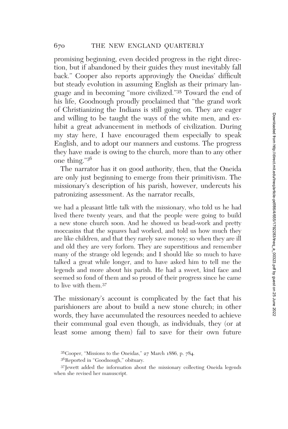promising beginning, even decided progress in the right direction, but if abandoned by their guides they must inevitably fall back." Cooper also reports approvingly the Oneidas' difficult but steady evolution in assuming English as their primary language and in becoming "more civilized."<sup>35</sup> Toward the end of his life, Goodnough proudly proclaimed that "the grand work of Christianizing the Indians is still going on. They are eager and willing to be taught the ways of the white men, and exhibit a great advancement in methods of civilization. During my stay here, I have encouraged them especially to speak English, and to adopt our manners and customs. The progress they have made is owing to the church, more than to any other one thing."<sup>36</sup>

The narrator has it on good authority, then, that the Oneida are only just beginning to emerge from their primitivism. The missionary's description of his parish, however, undercuts his patronizing assessment. As the narrator recalls,

we had a pleasant little talk with the missionary, who told us he had lived there twenty years, and that the people were going to build a new stone church soon. And he showed us bead-work and pretty moccasins that the squaws had worked, and told us how much they are like children, and that they rarely save money; so when they are ill and old they are very forlorn. They are superstitious and remember many of the strange old legends; and I should like so much to have talked a great while longer, and to have asked him to tell me the legends and more about his parish. He had a sweet, kind face and seemed so fond of them and so proud of their progress since he came to live with them.<sup>37</sup>

The missionary's account is complicated by the fact that his parishioners are about to build a new stone church; in other words, they have accumulated the resources needed to achieve their communal goal even though, as individuals, they (or at least some among them) fail to save for their own future

<sup>35</sup>Cooper, "Missions to the Oneidas," 27 March 1886, p. 784.

<sup>36</sup>Reported in "Goodnough," obituary.

<sup>37</sup>Jewett added the information about the missionary collecting Oneida legends when she revised her manuscript.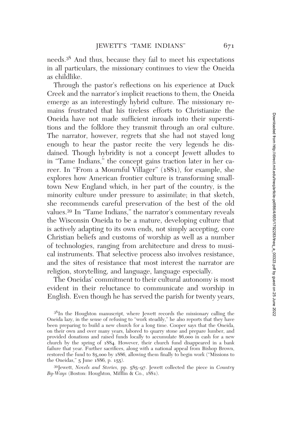needs.<sup>38</sup> And thus, because they fail to meet his expectations in all particulars, the missionary continues to view the Oneida as childlike.

Through the pastor's reflections on his experience at Duck Creek and the narrator's implicit reactions to them, the Oneida emerge as an interestingly hybrid culture. The missionary remains frustrated that his tireless efforts to Christianize the Oneida have not made sufficient inroads into their superstitions and the folklore they transmit through an oral culture. The narrator, however, regrets that she had not stayed long enough to hear the pastor recite the very legends he disdained. Though hybridity is not a concept Jewett alludes to in "Tame Indians," the concept gains traction later in her career. In "From a Mournful Villager" (1881), for example, she explores how American frontier culture is transforming smalltown New England which, in her part of the country, is the minority culture under pressure to assimilate; in that sketch, she recommends careful preservation of the best of the old values.<sup>39</sup> In "Tame Indians," the narrator's commentary reveals the Wisconsin Oneida to be a mature, developing culture that is actively adapting to its own ends, not simply accepting, core Christian beliefs and customs of worship as well as a number of technologies, ranging from architecture and dress to musical instruments. That selective process also involves resistance, and the sites of resistance that most interest the narrator are religion, storytelling, and language, language especially.

The Oneidas' commitment to their cultural autonomy is most evident in their reluctance to communicate and worship in English. Even though he has served the parish for twenty years,

<sup>39</sup>Jewett, *Novels and Stories,* pp. 585–97. Jewett collected the piece in *Country By-Ways* (Boston: Houghton, Mifflin & Co., 1881).

<sup>38</sup>In the Houghton manuscript, where Jewett records the missionary calling the Oneida lazy, in the sense of refusing to "work steadily," he also reports that they have been preparing to build a new church for a long time. Cooper says that the Oneida, on their own and over many years, labored to quarry stone and prepare lumber, and provided donations and raised funds locally to accumulate \$6,000 in cash for a new church by the spring of 1884. However, their church fund disappeared in a bank failure that year. Further sacrifices, along with a national appeal from Bishop Brown, restored the fund to \$5,000 by 1886, allowing them finally to begin work ("Missions to the Oneidas," 5 June 1886, p. 155).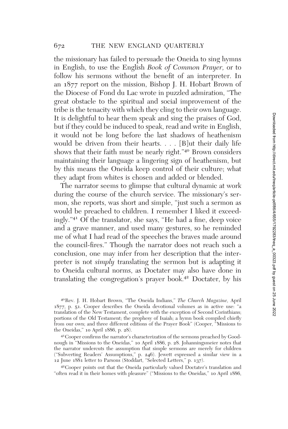the missionary has failed to persuade the Oneida to sing hymns in English, to use the English *Book of Common Prayer,* or to follow his sermons without the benefit of an interpreter. In an 1877 report on the mission, Bishop J. H. Hobart Brown of the Diocese of Fond du Lac wrote in puzzled admiration, "The great obstacle to the spiritual and social improvement of the tribe is the tenacity with which they cling to their own language. It is delightful to hear them speak and sing the praises of God, but if they could be induced to speak, read and write in English, it would not be long before the last shadows of heathenism would be driven from their hearts. . . . [B]ut their daily life shows that their faith must be nearly right."<sup>40</sup> Brown considers maintaining their language a lingering sign of heathenism, but by this means the Oneida keep control of their culture; what they adapt from whites is chosen and added or blended.

The narrator seems to glimpse that cultural dynamic at work during the course of the church service. The missionary's sermon, she reports, was short and simple, "just such a sermon as would be preached to children. I remember I liked it exceedingly."<sup>41</sup> Of the translator, she says, "He had a fine, deep voice and a grave manner, and used many gestures, so he reminded me of what I had read of the speeches the braves made around the council-fires." Though the narrator does not reach such a conclusion, one may infer from her description that the interpreter is not *simply* translating the sermon but is adapting it to Oneida cultural norms, as Doctater may also have done in translating the congregation's prayer book.<sup>42</sup> Doctater, by his

<sup>41</sup>Cooper confirms the narrator's characterization of the sermons preached by Goodnough in "Missions to the Oneidas," 10 April 1886, p. 28. Johanningsmeier notes that the narrator undercuts the assumption that simple sermons are merely for children ("Subverting Readers' Assumptions," p. 246). Jewett expressed a similar view in a 12 June 1881 letter to Parsons (Stoddart, "Selected Letters," p. 137).

<sup>42</sup>Cooper points out that the Oneida particularly valued Doctater's translation and "often read it in their homes with pleasure" ("Missions to the Oneidas," 10 April 1886,

<sup>40</sup>Rev. J. H. Hobart Brown, "The Oneida Indians," *The Church Magazine,* April 1877, p. 51. Cooper describes the Oneida devotional volumes as in active use: "a translation of the New Testament, complete with the exception of Second Corinthians; portions of the Old Testament; the prophesy of Isaiah; a hymn book compiled chiefly from our own; and three different editions of the Prayer Book" (Cooper, "Missions to the Oneidas," 10 April 1886, p. 28).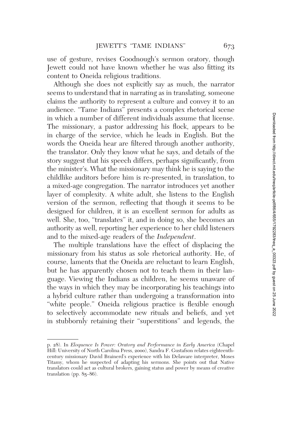use of gesture, revises Goodnough's sermon oratory, though Jewett could not have known whether he was also fitting its content to Oneida religious traditions.

Although she does not explicitly say as much, the narrator seems to understand that in narrating as in translating, someone claims the authority to represent a culture and convey it to an audience. "Tame Indians" presents a complex rhetorical scene in which a number of different individuals assume that license. The missionary, a pastor addressing his flock, appears to be in charge of the service, which he leads in English. But the words the Oneida hear are filtered through another authority, the translator. Only they know what he says, and details of the story suggest that his speech differs, perhaps significantly, from the minister's. What the missionary may think he is saying to the childlike auditors before him is re-presented, in translation, to a mixed-age congregation. The narrator introduces yet another layer of complexity. A white adult, she listens to the English version of the sermon, reflecting that though it seems to be designed for children, it is an excellent sermon for adults as well. She, too, "translates" it, and in doing so, she becomes an authority as well, reporting her experience to her child listeners and to the mixed-age readers of the *Independent*.

The multiple translations have the effect of displacing the missionary from his status as sole rhetorical authority. He, of course, laments that the Oneida are reluctant to learn English, but he has apparently chosen not to teach them in their language. Viewing the Indians as children, he seems unaware of the ways in which they may be incorporating his teachings into a hybrid culture rather than undergoing a transformation into "white people." Oneida religious practice is flexible enough to selectively accommodate new rituals and beliefs, and yet in stubbornly retaining their "superstitions" and legends, the

p. 28). In *Eloquence Is Power: Oratory and Performance in Early America* (Chapel Hill: University of North Carolina Press, 2000), Sandra F. Gustafson relates eighteenthcentury missionary David Brainerd's experience with his Delaware interpreter, Moses Titamy, whom he suspected of adapting his sermons. She points out that Native translators could act as cultural brokers, gaining status and power by means of creative translation (pp. 85–86).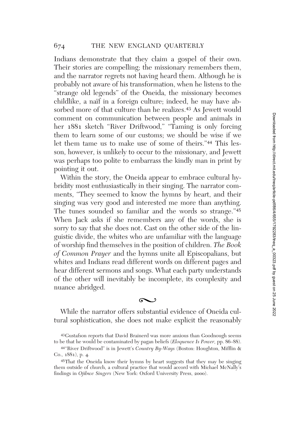Indians demonstrate that they claim a gospel of their own. Their stories are compelling; the missionary remembers them, and the narrator regrets not having heard them. Although he is probably not aware of his transformation, when he listens to the "strange old legends" of the Oneida, the missionary becomes childlike, a naïf in a foreign culture; indeed, he may have absorbed more of that culture than he realizes.<sup>43</sup> As Jewett would comment on communication between people and animals in her 1881 sketch "River Driftwood," "Taming is only forcing them to learn some of our customs; we should be wise if we let them tame us to make use of some of theirs."<sup>44</sup> This lesson, however, is unlikely to occur to the missionary, and Jewett was perhaps too polite to embarrass the kindly man in print by pointing it out.

Within the story, the Oneida appear to embrace cultural hybridity most enthusiastically in their singing. The narrator comments, "They seemed to know the hymns by heart, and their singing was very good and interested me more than anything. The tunes sounded so familiar and the words so strange."<sup>45</sup> When Jack asks if she remembers any of the words, she is sorry to say that she does not. Cast on the other side of the linguistic divide, the whites who are unfamiliar with the language of worship find themselves in the position of children. *The Book of Common Prayer* and the hymns unite all Episcopalians, but whites and Indians read different words on different pages and hear different sermons and songs. What each party understands of the other will inevitably be incomplete, its complexity and nuance abridged.

While the narrator offers substantial evidence of Oneida cultural sophistication, she does not make explicit the reasonably

<sup>43</sup>Gustafson reports that David Brainerd was more anxious than Goodnough seems to be that he would be contaminated by pagan beliefs (*Eloquence Is Power,* pp. 86–88).

<sup>44</sup>"River Driftwood" is in Jewett's *Country By-Ways* (Boston: Houghton, Mifflin & Co., 1881), p. 4.

<sup>45</sup>That the Oneida know their hymns by heart suggests that they may be singing them outside of church, a cultural practice that would accord with Michael McNally's findings in *Ojibwe Singers* (New York: Oxford University Press, 2000).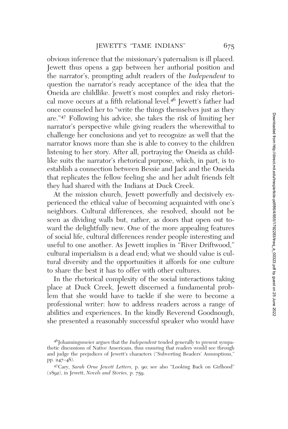obvious inference that the missionary's paternalism is ill placed. Jewett thus opens a gap between her authorial position and the narrator's, prompting adult readers of the *Independent* to question the narrator's ready acceptance of the idea that the Oneida are childlike. Jewett's most complex and risky rhetorical move occurs at a fifth relational level.<sup>46</sup> Jewett's father had once counseled her to "write the things themselves just as they are."<sup>47</sup> Following his advice, she takes the risk of limiting her narrator's perspective while giving readers the wherewithal to challenge her conclusions and yet to recognize as well that the narrator knows more than she is able to convey to the children listening to her story. After all, portraying the Oneida as childlike suits the narrator's rhetorical purpose, which, in part, is to establish a connection between Bessie and Jack and the Oneida that replicates the fellow feeling she and her adult friends felt they had shared with the Indians at Duck Creek.

At the mission church, Jewett powerfully and decisively experienced the ethical value of becoming acquainted with one's neighbors. Cultural differences, she resolved, should not be seen as dividing walls but, rather, as doors that open out toward the delightfully new. One of the more appealing features of social life, cultural differences render people interesting and useful to one another. As Jewett implies in "River Driftwood," cultural imperialism is a dead end; what we should value is cultural diversity and the opportunities it affords for one culture to share the best it has to offer with other cultures.

In the rhetorical complexity of the social interactions taking place at Duck Creek, Jewett discerned a fundamental problem that she would have to tackle if she were to become a professional writer: how to address readers across a range of abilities and experiences. In the kindly Reverend Goodnough, she presented a reasonably successful speaker who would have

<sup>&</sup>lt;sup>46</sup>Johanningsmeier argues that the *Independent* tended generally to present sympathetic discussions of Native Americans, thus ensuring that readers would see through and judge the prejudices of Jewett's characters ("Subverting Readers' Assumptions," pp. 247–48).

<sup>47</sup>Cary, *Sarah Orne Jewett Letters,* p. 90; see also "Looking Back on Girlhood" (1892), in Jewett, *Novels and Stories,* p. 759.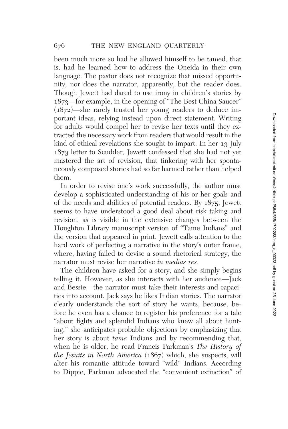been much more so had he allowed himself to be tamed, that is, had he learned how to address the Oneida in their own language. The pastor does not recognize that missed opportunity, nor does the narrator, apparently, but the reader does. Though Jewett had dared to use irony in children's stories by 1873—for example, in the opening of "The Best China Saucer" (1872)—she rarely trusted her young readers to deduce important ideas, relying instead upon direct statement. Writing for adults would compel her to revise her texts until they extracted the necessary work from readers that would result in the kind of ethical revelations she sought to impart. In her 13 July 1873 letter to Scudder, Jewett confessed that she had not yet mastered the art of revision, that tinkering with her spontaneously composed stories had so far harmed rather than helped them.

In order to revise one's work successfully, the author must develop a sophisticated understanding of his or her goals and of the needs and abilities of potential readers. By 1875, Jewett seems to have understood a good deal about risk taking and revision, as is visible in the extensive changes between the Houghton Library manuscript version of "Tame Indians" and the version that appeared in print. Jewett calls attention to the hard work of perfecting a narrative in the story's outer frame, where, having failed to devise a sound rhetorical strategy, the narrator must revise her narrative *in medias res*.

The children have asked for a story, and she simply begins telling it. However, as she interacts with her audience—Jack and Bessie—the narrator must take their interests and capacities into account. Jack says he likes Indian stories. The narrator clearly understands the sort of story he wants, because, before he even has a chance to register his preference for a tale "about fights and splendid Indians who knew all about hunting," she anticipates probable objections by emphasizing that her story is about *tame* Indians and by recommending that, when he is older, he read Francis Parkman's *The History of the Jesuits in North America* (1867) which, she suspects, will alter his romantic attitude toward "wild" Indians. According to Dippie, Parkman advocated the "convenient extinction" of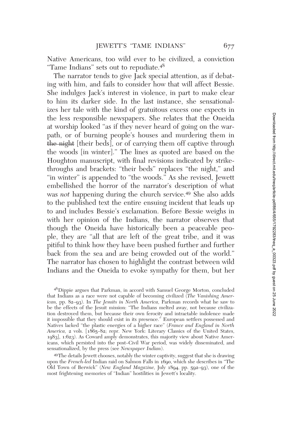Native Americans, too wild ever to be civilized, a conviction "Tame Indians" sets out to repudiate.<sup>48</sup>

The narrator tends to give Jack special attention, as if debating with him, and fails to consider how that will affect Bessie. She indulges Jack's interest in violence, in part to make clear to him its darker side. In the last instance, she sensationalizes her tale with the kind of gratuitous excess one expects in the less responsible newspapers. She relates that the Oneida at worship looked "as if they never heard of going on the warpath, or of burning people's houses and murdering them in the night [their beds], or of carrying them off captive through the woods [in winter]." The lines as quoted are based on the Houghton manuscript, with final revisions indicated by strikethroughs and brackets: "their beds" replaces "the night," and "in winter" is appended to "the woods." As she revised, Jewett embellished the horror of the narrator's description of what was *not* happening during the church service.<sup>49</sup> She also adds to the published text the entire ensuing incident that leads up to and includes Bessie's exclamation. Before Bessie weighs in with her opinion of the Indians, the narrator observes that though the Oneida have historically been a peaceable people, they are "all that are left of the great tribe, and it was pitiful to think how they have been pushed further and further back from the sea and are being crowded out of the world." The narrator has chosen to highlight the contrast between wild Indians and the Oneida to evoke sympathy for them, but her

<sup>48</sup>Dippie argues that Parkman, in accord with Samuel George Morton, concluded that Indians as a race were not capable of becoming civilized (*The Vanishing American,* pp. 82–93). In *The Jesuits in North America,* Parkman records what he saw to be the effects of the Jesuit mission: "The Indians melted away, not because civilization destroyed them, but because their own ferocity and intractable indolence made it impossible that they should exist in its presence." European settlers possessed and Natives lacked "the plastic energies of a higher race" (*France and England in North America,* 2 vols. [1865–82; repr. New York: Literary Classics of the United States, 1983], 1:623). As Coward amply demonstrates, this majority view about Native Americans, which persisted into the post–Civil War period, was widely disseminated, and sensationalized, by the press (see *Newspaper Indian*).

<sup>49</sup>The details Jewett chooses, notably the winter captivity, suggest that she is drawing upon the *French*-*led* Indian raid on Salmon Falls in 1690, which she describes in "The Old Town of Berwick" (*New England Magazine,* July 1894, pp. 592–93), one of the most frightening memories of "Indian" hostilities in Jewett's locality.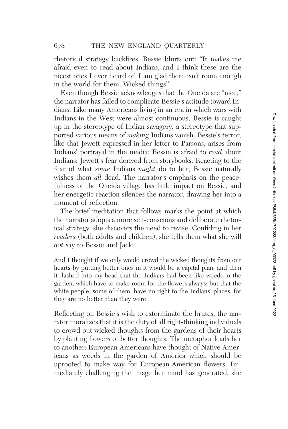rhetorical strategy backfires. Bessie blurts out: "It makes me afraid even to read about Indians, and I think these are the nicest ones I ever heard of. I am glad there isn't room enough in the world for them. Wicked things!"

Even though Bessie acknowledges that the Oneida are "nice," the narrator has failed to complicate Bessie's attitude toward Indians. Like many Americans living in an era in which wars with Indians in the West were almost continuous, Bessie is caught up in the stereotype of Indian savagery, a stereotype that supported various means of *making* Indians vanish. Bessie's terror, like that Jewett expressed in her letter to Parsons, arises from Indians' portrayal in the media: Bessie is afraid to *read* about Indians; Jewett's fear derived from storybooks. Reacting to the fear of what *some* Indians *might* do to her, Bessie naturally wishes them *all* dead. The narrator's emphasis on the peacefulness of the Oneida village has little impact on Bessie, and her energetic reaction silences the narrator, drawing her into a moment of reflection.

The brief meditation that follows marks the point at which the narrator adopts a more self-conscious and deliberate rhetorical strategy: she discovers the need to revise. Confiding in her *readers* (both adults and children), she tells them what she will *not* say to Bessie and Jack:

And I thought if we only would crowd the wicked thoughts from our hearts by putting better ones in it would be a capital plan, and then it flashed into my head that the Indians had been like weeds in the garden, which have to make room for the flowers always; but that the white people, some of them, have no right to the Indians' places, for they are no better than they were.

Reflecting on Bessie's wish to exterminate the brutes, the narrator moralizes that it is the duty of all right-thinking individuals to crowd out wicked thoughts from the gardens of their hearts by planting flowers of better thoughts. The metaphor leads her to another: European Americans have thought of Native Americans as weeds in the garden of America which should be uprooted to make way for European-American flowers. Immediately challenging the image her mind has generated, she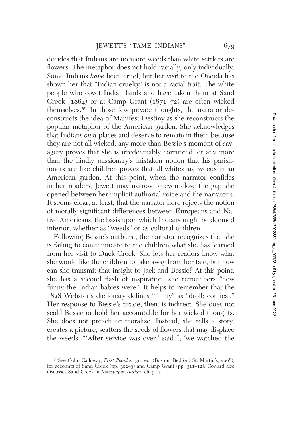decides that Indians are no more weeds than white settlers are flowers. The metaphor does not hold racially, only individually. Some Indians *have* been cruel, but her visit to the Oneida has shown her that "Indian cruelty" is not a racial trait. The white people who covet Indian lands and have taken them at Sand Creek (1864) or at Camp Grant (1871–72) are often wicked themselves.<sup>50</sup> In those few private thoughts, the narrator deconstructs the idea of Manifest Destiny as she reconstructs the popular metaphor of the American garden. She acknowledges that Indians *own* places and deserve to remain in them because they are not all wicked, any more than Bessie's moment of savagery proves that she is irredeemably corrupted, or any more than the kindly missionary's mistaken notion that his parishioners are like children proves that all whites are weeds in an American garden. At this point, when the narrator confides in her readers, Jewett may narrow or even close the gap she opened between her implicit authorial voice and the narrator's. It seems clear, at least, that the narrator here rejects the notion of morally significant differences between Europeans and Native Americans, the basis upon which Indians might be deemed inferior, whether as "weeds" or as cultural children.

Following Bessie's outburst, the narrator recognizes that she is failing to communicate to the children what she has learned from her visit to Duck Creek. She lets her readers know what she would like the children to take away from her tale, but how can she transmit that insight to Jack and Bessie? At this point, she has a second flash of inspiration; she remembers "how funny the Indian babies were." It helps to remember that the 1828 Webster's dictionary defines "funny" as "droll; comical." Her response to Bessie's tirade, then, is indirect. She does not scold Bessie or hold her accountable for her wicked thoughts. She does not preach or moralize. Instead, she tells a story, creates a picture, scatters the seeds of flowers that may displace the weeds: "'After service was over,' said I, 'we watched the

<sup>50</sup>See Colin Calloway, *First Peoples,* 3rd ed. (Boston: Bedford St. Martin's, 2008), for accounts of Sand Creek (pp. 302–3) and Camp Grant (pp. 311–12). Coward also discusses Sand Creek in *Newspaper Indian,* chap. 4.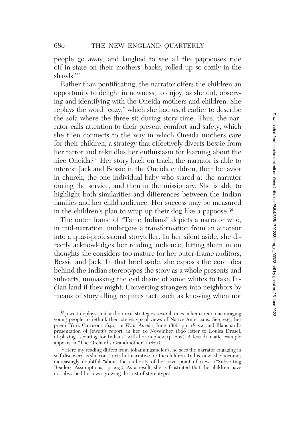people go away, and laughed to see all the pappooses ride off in state on their mothers' backs, rolled up so cozily in the shawls.'"

Rather than pontificating, the narrator offers the children an opportunity to delight in newness, to enjoy, as she did, observing and identifying with the Oneida mothers and children. She replays the word "cozy," which she had used earlier to describe the sofa where the three sit during story time. Thus, the narrator calls attention to their present comfort and safety, which she then connects to the way in which Oneida mothers care for their children, a strategy that effectively diverts Bessie from her terror and rekindles her enthusiasm for learning about the nice Oneida.<sup>51</sup> Her story back on track, the narrator is able to interest Jack and Bessie in the Oneida children, their behavior in church, the one individual baby who stared at the narrator during the service, and then in the missionary. She is able to highlight both similarities and differences between the Indian families and her child audience. Her success may be measured in the children's plan to wrap up their dog like a papoose.<sup>52</sup>

The outer frame of "Tame Indians" depicts a narrator who, in mid-narration, undergoes a transformation from an amateur into a quasi-professional storyteller. In her silent aside, she directly acknowledges her reading audience, letting them in on thoughts she considers too mature for her outer-frame auditors, Bessie and Jack. In that brief aside, she exposes the core idea behind the Indian stereotypes the story as a whole presents and subverts, unmasking the evil desire of some whites to take Indian land if they might. Converting strangers into neighbors by means of storytelling requires tact, such as knowing when not

<sup>51</sup>Jewett deploys similar rhetorical strategies several times in her career, encouraging young people to rethink their stereotypical views of Native Americans. See, e.g., her poem "York Garrison: 1640," in *Wide Awake,* June 1886, pp. 18–22, and Blanchard's presentation of Jewett's report, in her 10 November 1890 letter to Louisa Dresel, of playing "scouting for Indians" with her nephew (p. 202). A less dramatic example appears in "The Orchard's Grandmother" (1871).

<sup>52</sup>Here my reading differs from Johanningsmeier's; he sees the narrator engaging in self-discovery as she constructs her narrative for the children. In his view, she becomes increasingly doubtful "about the authority of her own point of view" ("Subverting Readers' Assumptions," p. 245). As a result, she is frustrated that the children have not absorbed her own growing distrust of stereotypes.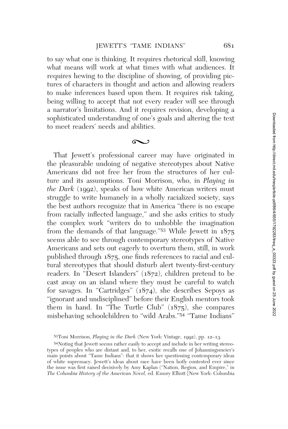to say what one is thinking. It requires rhetorical skill, knowing what means will work at what times with what audiences. It requires hewing to the discipline of showing, of providing pictures of characters in thought and action and allowing readers to make inferences based upon them. It requires risk taking, being willing to accept that not every reader will see through a narrator's limitations. And it requires revision, developing a sophisticated understanding of one's goals and altering the text to meet readers' needs and abilities.

#### ت

That Jewett's professional career may have originated in the pleasurable undoing of negative stereotypes about Native Americans did not free her from the structures of her culture and its assumptions. Toni Morrison, who, in *Playing in the Dark* (1992), speaks of how white American writers must struggle to write humanely in a wholly racialized society, says the best authors recognize that in America "there is no escape from racially inflected language," and she asks critics to study the complex work "writers do to unhobble the imagination from the demands of that language."<sup>53</sup> While Jewett in 1875 seems able to see through contemporary stereotypes of Native Americans and sets out eagerly to overturn them, still, in work published through 1875, one finds references to racial and cultural stereotypes that should disturb alert twenty-first-century readers. In "Desert Islanders" (1872), children pretend to be cast away on an island where they must be careful to watch for savages. In "Cartridges" (1874), she describes Sepoys as "ignorant and undisciplined" before their English mentors took them in hand. In "The Turtle Club" (1875), she compares misbehaving schoolchildren to "wild Arabs."<sup>54</sup> "Tame Indians"

<sup>53</sup>Toni Morrison, *Playing in the Dark* (New York: Vintage, 1992), pp. 12–13.

<sup>54</sup>Noting that Jewett seems rather easily to accept and include in her writing stereotypes of peoples who are distant and, to her, exotic recalls one of Johanningsmeier's main points about "Tame Indians": that it shows her questioning contemporary ideas of white supremacy. Jewett's ideas about race have been hotly contested ever since the issue was first raised decisively by Amy Kaplan ("Nation, Region, and Empire," in *The Columbia History of the American Novel,* ed. Emory Elliott [New York: Columbia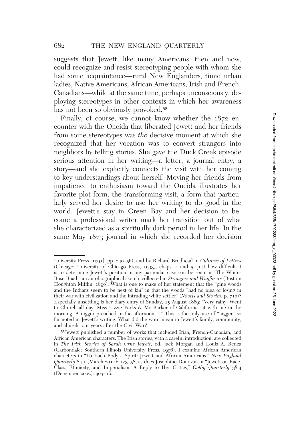suggests that Jewett, like many Americans, then and now, could recognize and resist stereotyping people with whom she had some acquaintance—rural New Englanders, timid urban ladies, Native Americans, African Americans, Irish and French-Canadians—while at the same time, perhaps unconsciously, deploying stereotypes in other contexts in which her awareness has not been so obviously provoked.<sup>55</sup>

Finally, of course, we cannot know whether the 1872 encounter with the Oneida that liberated Jewett and her friends from some stereotypes was *the* decisive moment at which she recognized that her vocation was to convert strangers into neighbors by telling stories. She gave the Duck Creek episode serious attention in her writing—a letter, a journal entry, a story—and she explicitly connects the visit with her coming to key understandings about herself. Moving her friends from impatience to enthusiasm toward the Oneida illustrates her favorite plot form, the transforming visit, a form that particularly served her desire to use her writing to do good in the world. Jewett's stay in Green Bay and her decision to become a professional writer mark her transition out of what she characterized as a spiritually dark period in her life. In the same May 1873 journal in which she recorded her decision

University Press, 1991], pp. 240–56), and by Richard Brodhead in *Cultures of Letters* (Chicago: University of Chicago Press, 1993), chaps. 4 and 5. Just how difficult it is to determine Jewett's position in any particular case can be seen in "The White-Rose Road," an autobiographical sketch, collected in *Strangers and Wayfarers* (Boston: Houghton Mifflin, 1890). What is one to make of her statement that the "pine woods and the Indians seem to be next of kin" in that the woods "had no idea of losing in their war with civilization and the intruding white settler" (*Novels and Stories,* p. 710)? Especially unsettling is her diary entry of Sunday, 15 August 1869: "Very rainy. Went to Church all day. Miss Lizzie Parks & Mr Barker of California sat with me in the morning. A nigger preached in the afternoon—." This is the only use of "nigger" so far noted in Jewett's writing. What did the word mean in Jewett's family, community, and church four years after the Civil War?

<sup>55</sup>Jewett published a number of works that included Irish, French-Canadian, and African American characters. The Irish stories, with a careful introduction, are collected in *The Irish Stories of Sarah Orne Jewett,* ed. Jack Morgan and Louis A. Renza (Carbondale: Southern Illinois University Press, 1996). I examine African American characters in "To Each Body a Spirit: Jewett and African Americans," *New England Quarterly* 84.1 (March 2011): 123–58, as does Josephine Donovan in "Jewett on Race, Class, Ethnicity, and Imperialism: A Reply to Her Critics," *Colby Quarterly* 38.4 (December 2002): 403–16.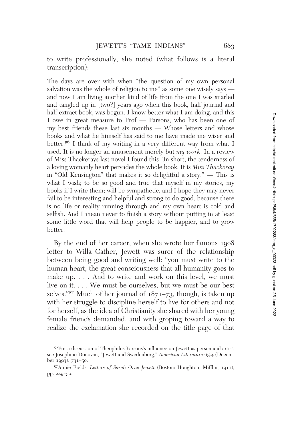to write professionally, she noted (what follows is a literal transcription):

The days are over with when "the question of my own personal salvation was the whole of religion to me" as some one wisely says and now I am living another kind of life from the one I was snarled and tangled up in [two?] years ago when this book, half journal and half extract book, was begun. I know better what I am doing, and this I owe in great measure to Prof — Parsons, who has been one of my best friends these last six months — Whose letters and whose books and what he himself has said to me have made me wiser and better.<sup>56</sup> I think of my writing in a very different way from what I used. It is no longer an amusement merely but *my work*. In a review of Miss Thackerays last novel I found this "In short, the tenderness of a loving womanly heart pervades the whole book. It is *Miss Thackeray* in "Old Kensington" that makes it so delightful a story." — This is what I wish; to be so good and true that myself in my stories, my books if I write them; will be sympathetic, and I hope they may never fail to be interesting and helpful and strong to do good, because there is no life or reality running through and my own heart is cold and selfish. And I mean never to finish a story without putting in at least some little word that will help people to be happier, and to grow better.

By the end of her career, when she wrote her famous 1908 letter to Willa Cather, Jewett was surer of the relationship between being good and writing well: "you must write to the human heart, the great consciousness that all humanity goes to make up. . . . And to write and work on this level, we must live on it. . . . We must be ourselves, but we must be our best selves."<sup>57</sup> Much of her journal of 1871–73, though, is taken up with her struggle to discipline herself to live for others and not for herself, as the idea of Christianity she shared with her young female friends demanded, and with groping toward a way to realize the exclamation she recorded on the title page of that

<sup>&</sup>lt;sup>56</sup>For a discussion of Theophilus Parsons's influence on Jewett as person and artist, see Josephine Donovan, "Jewett and Swedenborg," *American Literature* 65.4 (December 1993): 731–50.

<sup>57</sup>Annie Fields, *Letters of Sarah Orne Jewett* (Boston: Houghton, Mifflin, 1911), pp. 249–50.